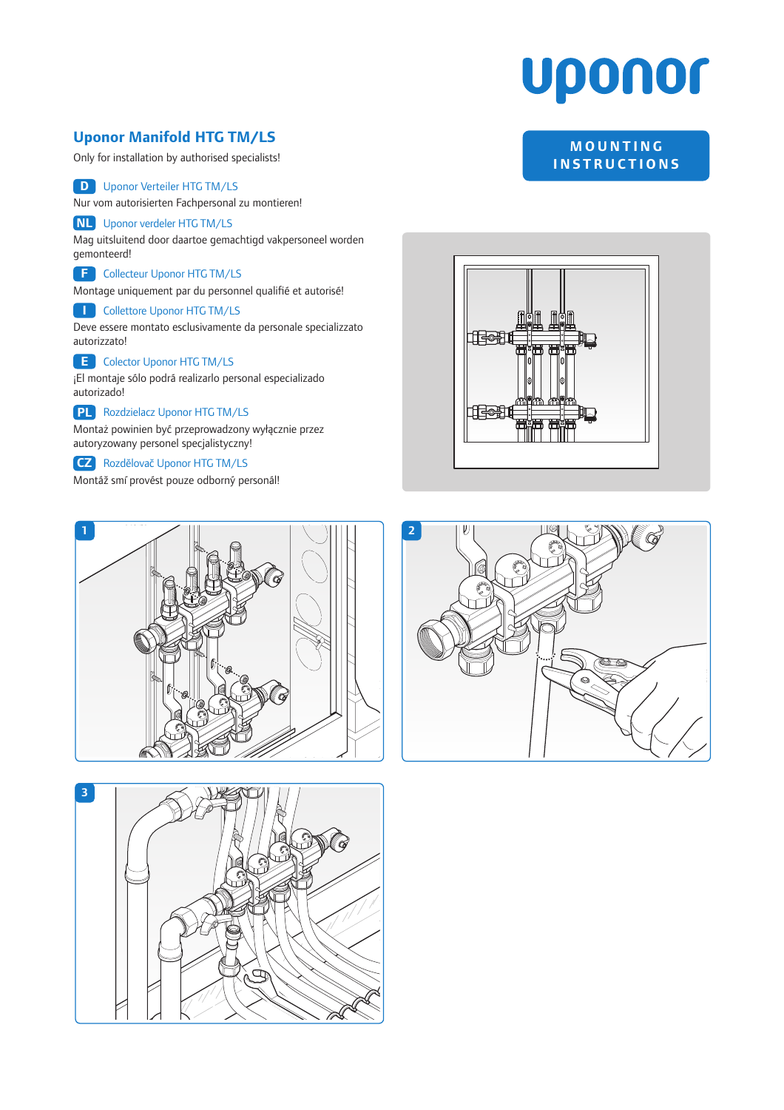# **Uponor**

### **Uponor Manifold HTG TM/LS**

Only for installation by authorised specialists!

#### **D** Uponor Verteiler HTG TM/LS

Nur vom autorisierten Fachpersonal zu montieren!

#### **NL** Uponor verdeler HTG TM/LS

Mag uitsluitend door daartoe gemachtigd vakpersoneel worden gemonteerd!

#### **F** Collecteur Uponor HTG TM/LS

Montage uniquement par du personnel qualifié et autorisé!

#### **I** Collettore Uponor HTG TM/LS

Deve essere montato esclusivamente da personale specializzato autorizzato!

#### **E** Colector Uponor HTG TM/LS

¡El montaje sólo podrá realizarlo personal especializado autorizado!

#### **PL** Rozdzielacz Uponor HTG TM/LS

Montaż powinien być przeprowadzony wyłącznie przez autoryzowany personel specjalistyczny!

#### **CZ** Rozdělovač Uponor HTG TM/LS

Montáž smí provést pouze odborný personál!









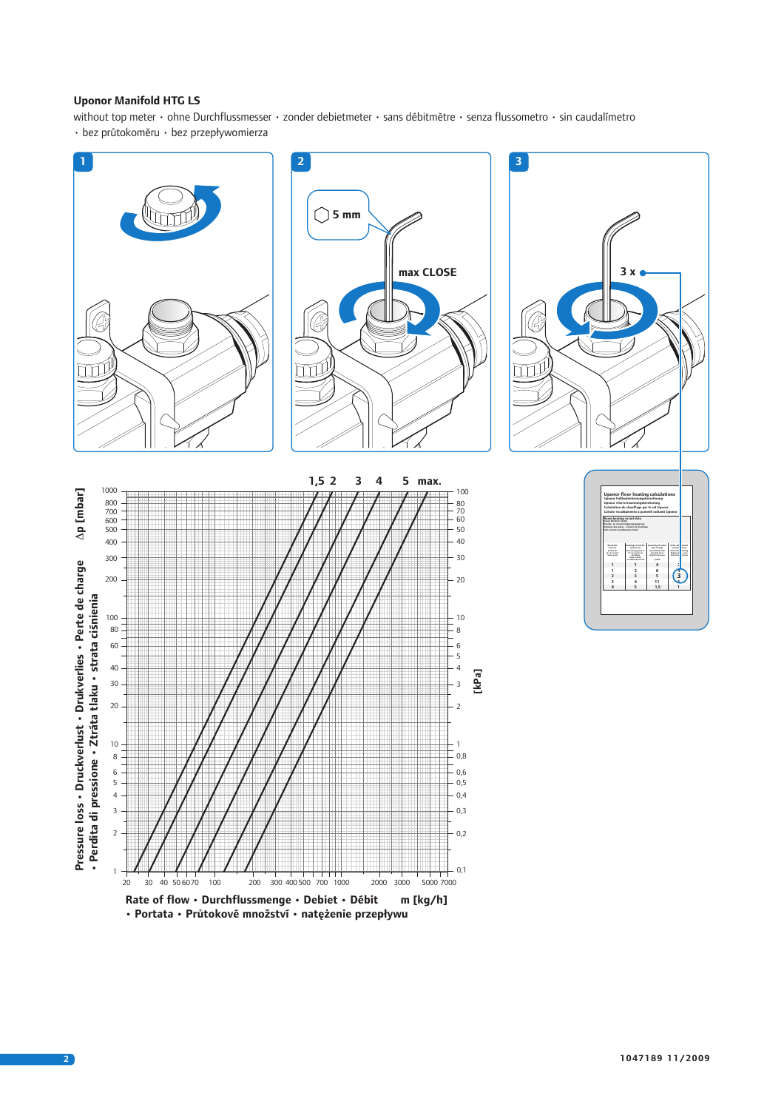#### **Uponor Manifold HTG LS**

without top meter • ohne Durchflussmesser • zonder debietmeter • sans débitmètre • senza flussometro • sin caudalímetro • bez průtokoměru • bez przepływomierza

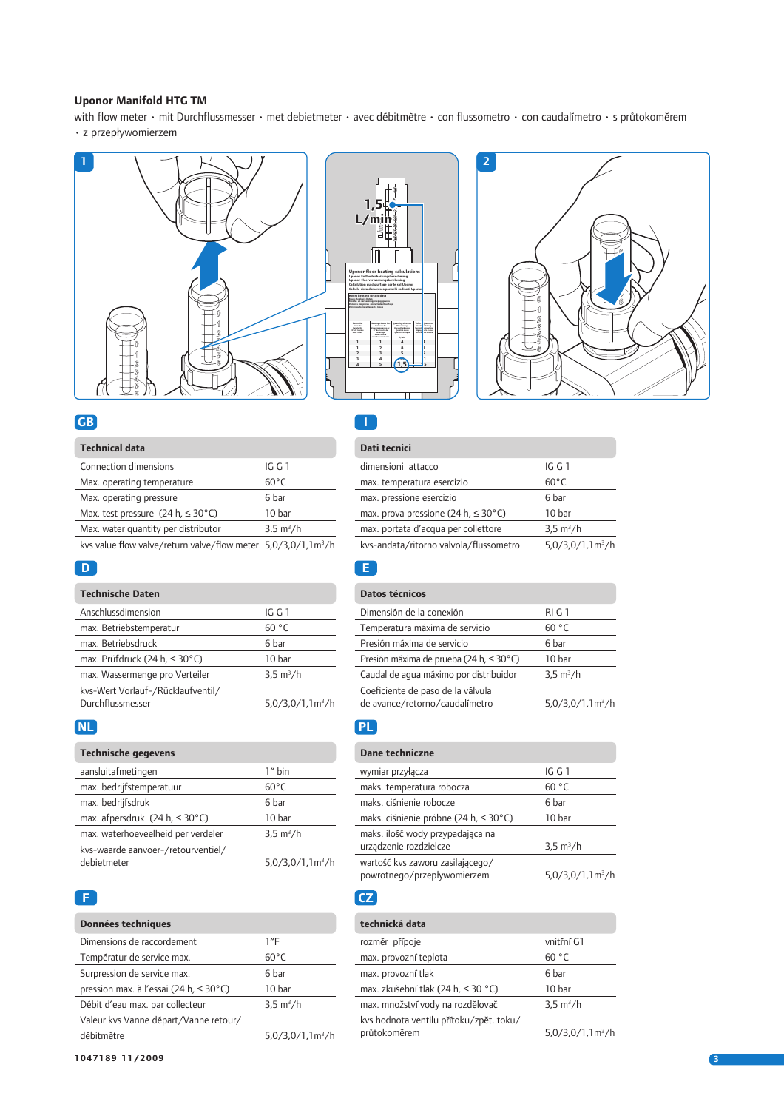#### **Uponor Manifold HTG TM**

with flow meter • mit Durchflussmesser • met debietmeter • avec débitmètre • con flussometro • con caudalímetro • s průtokoměrem • z przepływomierzem





## **GB**

| <b>Technical data</b>                                                        |                     |
|------------------------------------------------------------------------------|---------------------|
| Connection dimensions                                                        | IG G 1              |
| Max. operating temperature                                                   | $60^{\circ}$ C      |
| Max. operating pressure                                                      | 6 bar               |
| Max. test pressure $(24 h, \leq 30^{\circ}C)$                                | 10 bar              |
| Max. water quantity per distributor                                          | $3.5 \text{ m}^3/h$ |
| kys value flow valve/return valve/flow meter $5.0/3.0/1.1$ m <sup>3</sup> /h |                     |

#### **D**

#### **Technische Daten**

| Anschlussdimension                 | IG G 1              |
|------------------------------------|---------------------|
| max. Betriebstemperatur            | 60 °C               |
| max. Betriebsdruck                 | 6 har               |
| max. Prüfdruck (24 h, $\leq$ 30°C) | 10 <sub>bar</sub>   |
| max. Wassermenge pro Verteiler     | $3.5 \text{ m}^3/h$ |
| kvs-Wert Vorlauf-/Rücklaufventil/  |                     |
| Durchflussmesser                   | $5,0/3,0/1,1m^3/h$  |

#### **NL**

#### **Technische gegevens**

| aansluitafmetingen                                | $14$ bin            |
|---------------------------------------------------|---------------------|
| max. bedrijfstemperatuur                          | $60^{\circ}$ C      |
| max. bedrijfsdruk                                 | 6 har               |
| max. afpersdruk $(24 h, \leq 30^{\circ}C)$        | 10 bar              |
| max. waterhoeveelheid per verdeler                | $3.5 \text{ m}^3/h$ |
| kvs-waarde aanvoer-/retourventiel/<br>debietmeter | $5,0/3,0/1,1m^3/h$  |

#### **F**

| <b>Données techniques</b>                           |                              |
|-----------------------------------------------------|------------------------------|
| Dimensions de raccordement                          | $1^{\prime\prime}$ F         |
| Températur de service max.                          | $60^{\circ}$ C               |
| Surpression de service max.                         | 6 har                        |
| pression max. à l'essai (24 h, $\leq 30^{\circ}$ C) | 10 bar                       |
| Débit d'eau max. par collecteur                     | $3.5 \text{ m}^3/h$          |
| Valeur kvs Vanne départ/Vanne retour/               |                              |
| débitmètre                                          | 5.0/3.0/1.1 <sup>m3</sup> /h |
|                                                     |                              |

# **Dati tecnici**

**I**

L

| dimensioni attacco                               | IG G 1                       |
|--------------------------------------------------|------------------------------|
| max. temperatura esercizio                       | $60^{\circ}$ C               |
| max. pressione esercizio                         | 6 bar                        |
| max. prova pressione (24 h, $\leq 30^{\circ}$ C) | 10 bar                       |
| max. portata d'acqua per collettore              | $3.5 \text{ m}^3/h$          |
| kvs-andata/ritorno valvola/flussometro           | 5.0/3.0/1.1 <sup>m3</sup> /h |
|                                                  |                              |

#### **E**

| Datos técnicos                                                      |                     |
|---------------------------------------------------------------------|---------------------|
| Dimensión de la conexión                                            | RIG1                |
| Temperatura máxima de servicio                                      | 60 °C               |
| Presión máxima de servicio                                          | 6 bar               |
| Presión máxima de prueba (24 h, ≤ 30°C)                             | 10 bar              |
| Caudal de aqua máximo por distribuidor                              | $3.5 \text{ m}^3/h$ |
| Coeficiente de paso de la válvula<br>de avance/retorno/caudalimetro | $5,0/3,0/1,1m^3/h$  |

#### **PL**

| Dane techniczne                                                 |                             |
|-----------------------------------------------------------------|-----------------------------|
| wymiar przyłącza                                                | IGG1                        |
| maks. temperatura robocza                                       | 60 °C                       |
| maks, ciśnienie robocze                                         | 6 bar                       |
| maks. ciśnienie próbne (24 h, ≤ 30°C)                           | 10 bar                      |
| maks. ilość wody przypadająca na<br>urządzenie rozdzielcze      | $3.5 \text{ m}^3/h$         |
| wartość kvs zaworu zasilającego/<br>powrotnego/przepływomierzem | 5.0/3.0/1.1 <sup>3</sup> /h |

# **CZ**

| technická data                          |                              |
|-----------------------------------------|------------------------------|
| rozměr přípoje                          | vnitřní G1                   |
| max. provozní teplota                   | 60 °C                        |
| max. provozní tlak                      | 6 bar                        |
| max. zkušební tlak (24 h, ≤ 30 °C)      | 10 bar                       |
| max. množství vody na rozdělovač        | $3.5 \text{ m}^3/h$          |
| kvs hodnota ventilu přítoku/zpět. toku/ |                              |
| průtokoměrem                            | 5.0/3.0/1.1 <sup>m3</sup> /h |

#### **1047189 11/2009 3**